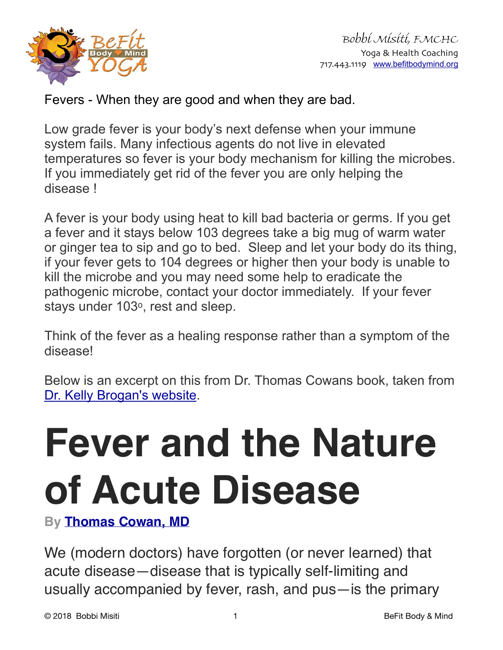

Fevers - When they are good and when they are bad.

Low grade fever is your body's next defense when your immune system fails. Many infectious agents do not live in elevated temperatures so fever is your body mechanism for killing the microbes. If you immediately get rid of the fever you are only helping the disease !

A fever is your body using heat to kill bad bacteria or germs. If you get a fever and it stays below 103 degrees take a big mug of warm water or ginger tea to sip and go to bed. Sleep and let your body do its thing, if your fever gets to 104 degrees or higher then your body is unable to kill the microbe and you may need some help to eradicate the pathogenic microbe, contact your doctor immediately. If your fever stays under 103°, rest and sleep.

Think of the fever as a healing response rather than a symptom of the disease!

Below is an excerpt on this from Dr. Thomas Cowans book, taken from [Dr. Kelly Brogan's website](https://kellybroganmd.com/fever-and-the-nature-of-acute-disease/).

## **Fever and the Nature of Acute Disease**

**By [Thomas Cowan, MD](https://kellybroganmd.com/author/thomas-cowan-md/)**

We (modern doctors) have forgotten (or never learned) that acute disease—disease that is typically self-limiting and usually accompanied by fever, rash, and pus—is the primary